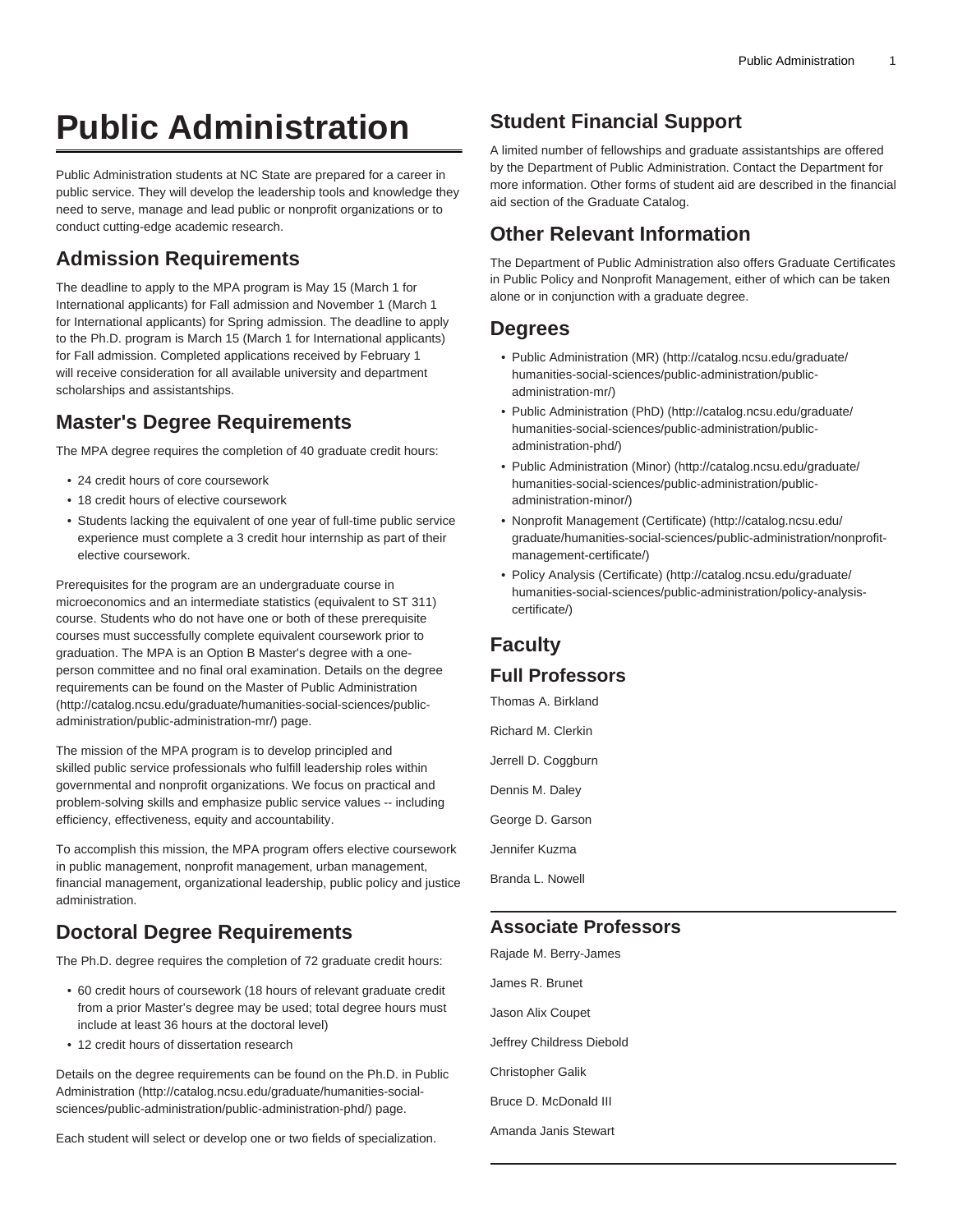# **Public Administration**

Public Administration students at NC State are prepared for a career in public service. They will develop the leadership tools and knowledge they need to serve, manage and lead public or nonprofit organizations or to conduct cutting-edge academic research.

## **Admission Requirements**

The deadline to apply to the MPA program is May 15 (March 1 for International applicants) for Fall admission and November 1 (March 1 for International applicants) for Spring admission. The deadline to apply to the Ph.D. program is March 15 (March 1 for International applicants) for Fall admission. Completed applications received by February 1 will receive consideration for all available university and department scholarships and assistantships.

# **Master's Degree Requirements**

The MPA degree requires the completion of 40 graduate credit hours:

- 24 credit hours of core coursework
- 18 credit hours of elective coursework
- Students lacking the equivalent of one year of full-time public service experience must complete a 3 credit hour internship as part of their elective coursework.

Prerequisites for the program are an undergraduate course in microeconomics and an intermediate statistics (equivalent to ST 311) course. Students who do not have one or both of these prerequisite courses must successfully complete equivalent coursework prior to graduation. The MPA is an Option B Master's degree with a oneperson committee and no final oral examination. Details on the degree requirements can be found on the [Master of Public Administration](http://catalog.ncsu.edu/graduate/humanities-social-sciences/public-administration/public-administration-mr/) ([http://catalog.ncsu.edu/graduate/humanities-social-sciences/public](http://catalog.ncsu.edu/graduate/humanities-social-sciences/public-administration/public-administration-mr/)[administration/public-administration-mr/\)](http://catalog.ncsu.edu/graduate/humanities-social-sciences/public-administration/public-administration-mr/) page.

The mission of the MPA program is to develop principled and skilled public service professionals who fulfill leadership roles within governmental and nonprofit organizations. We focus on practical and problem-solving skills and emphasize public service values -- including efficiency, effectiveness, equity and accountability.

To accomplish this mission, the MPA program offers elective coursework in public management, nonprofit management, urban management, financial management, organizational leadership, public policy and justice administration.

# **Doctoral Degree Requirements**

The Ph.D. degree requires the completion of 72 graduate credit hours:

- 60 credit hours of coursework (18 hours of relevant graduate credit from a prior Master's degree may be used; total degree hours must include at least 36 hours at the doctoral level)
- 12 credit hours of dissertation research

Details on the degree requirements can be found on the [Ph.D. in Public](http://catalog.ncsu.edu/graduate/humanities-social-sciences/public-administration/public-administration-phd/) [Administration](http://catalog.ncsu.edu/graduate/humanities-social-sciences/public-administration/public-administration-phd/) ([http://catalog.ncsu.edu/graduate/humanities-social](http://catalog.ncsu.edu/graduate/humanities-social-sciences/public-administration/public-administration-phd/)[sciences/public-administration/public-administration-phd/\)](http://catalog.ncsu.edu/graduate/humanities-social-sciences/public-administration/public-administration-phd/) page.

Each student will select or develop one or two fields of specialization.

# **Student Financial Support**

A limited number of fellowships and graduate assistantships are offered by the Department of Public Administration. Contact the Department for more information. Other forms of student aid are described in the financial aid section of the Graduate Catalog.

## **Other Relevant Information**

The Department of Public Administration also offers Graduate Certificates in Public Policy and Nonprofit Management, either of which can be taken alone or in conjunction with a graduate degree.

#### **Degrees**

- [Public Administration \(MR\)](http://catalog.ncsu.edu/graduate/humanities-social-sciences/public-administration/public-administration-mr/) ([http://catalog.ncsu.edu/graduate/](http://catalog.ncsu.edu/graduate/humanities-social-sciences/public-administration/public-administration-mr/) [humanities-social-sciences/public-administration/public](http://catalog.ncsu.edu/graduate/humanities-social-sciences/public-administration/public-administration-mr/)[administration-mr/](http://catalog.ncsu.edu/graduate/humanities-social-sciences/public-administration/public-administration-mr/))
- [Public Administration \(PhD\)](http://catalog.ncsu.edu/graduate/humanities-social-sciences/public-administration/public-administration-phd/) ([http://catalog.ncsu.edu/graduate/](http://catalog.ncsu.edu/graduate/humanities-social-sciences/public-administration/public-administration-phd/) [humanities-social-sciences/public-administration/public](http://catalog.ncsu.edu/graduate/humanities-social-sciences/public-administration/public-administration-phd/)[administration-phd/](http://catalog.ncsu.edu/graduate/humanities-social-sciences/public-administration/public-administration-phd/))
- [Public Administration \(Minor\)](http://catalog.ncsu.edu/graduate/humanities-social-sciences/public-administration/public-administration-minor/) [\(http://catalog.ncsu.edu/graduate/](http://catalog.ncsu.edu/graduate/humanities-social-sciences/public-administration/public-administration-minor/) [humanities-social-sciences/public-administration/public](http://catalog.ncsu.edu/graduate/humanities-social-sciences/public-administration/public-administration-minor/)[administration-minor/\)](http://catalog.ncsu.edu/graduate/humanities-social-sciences/public-administration/public-administration-minor/)
- [Nonprofit Management \(Certificate\)](http://catalog.ncsu.edu/graduate/humanities-social-sciences/public-administration/nonprofit-management-certificate/) ([http://catalog.ncsu.edu/](http://catalog.ncsu.edu/graduate/humanities-social-sciences/public-administration/nonprofit-management-certificate/) [graduate/humanities-social-sciences/public-administration/nonprofit](http://catalog.ncsu.edu/graduate/humanities-social-sciences/public-administration/nonprofit-management-certificate/)[management-certificate/\)](http://catalog.ncsu.edu/graduate/humanities-social-sciences/public-administration/nonprofit-management-certificate/)
- [Policy Analysis \(Certificate\)](http://catalog.ncsu.edu/graduate/humanities-social-sciences/public-administration/policy-analysis-certificate/) ([http://catalog.ncsu.edu/graduate/](http://catalog.ncsu.edu/graduate/humanities-social-sciences/public-administration/policy-analysis-certificate/) [humanities-social-sciences/public-administration/policy-analysis](http://catalog.ncsu.edu/graduate/humanities-social-sciences/public-administration/policy-analysis-certificate/)[certificate/](http://catalog.ncsu.edu/graduate/humanities-social-sciences/public-administration/policy-analysis-certificate/))

# **Faculty**

#### **Full Professors**

Thomas A. Birkland

Richard M. Clerkin Jerrell D. Coggburn Dennis M. Daley George D. Garson

Jennifer Kuzma

Branda L. Nowell

#### **Associate Professors**

Rajade M. Berry-James James R. Brunet Jason Alix Coupet Jeffrey Childress Diebold Christopher Galik Bruce D. McDonald III Amanda Janis Stewart